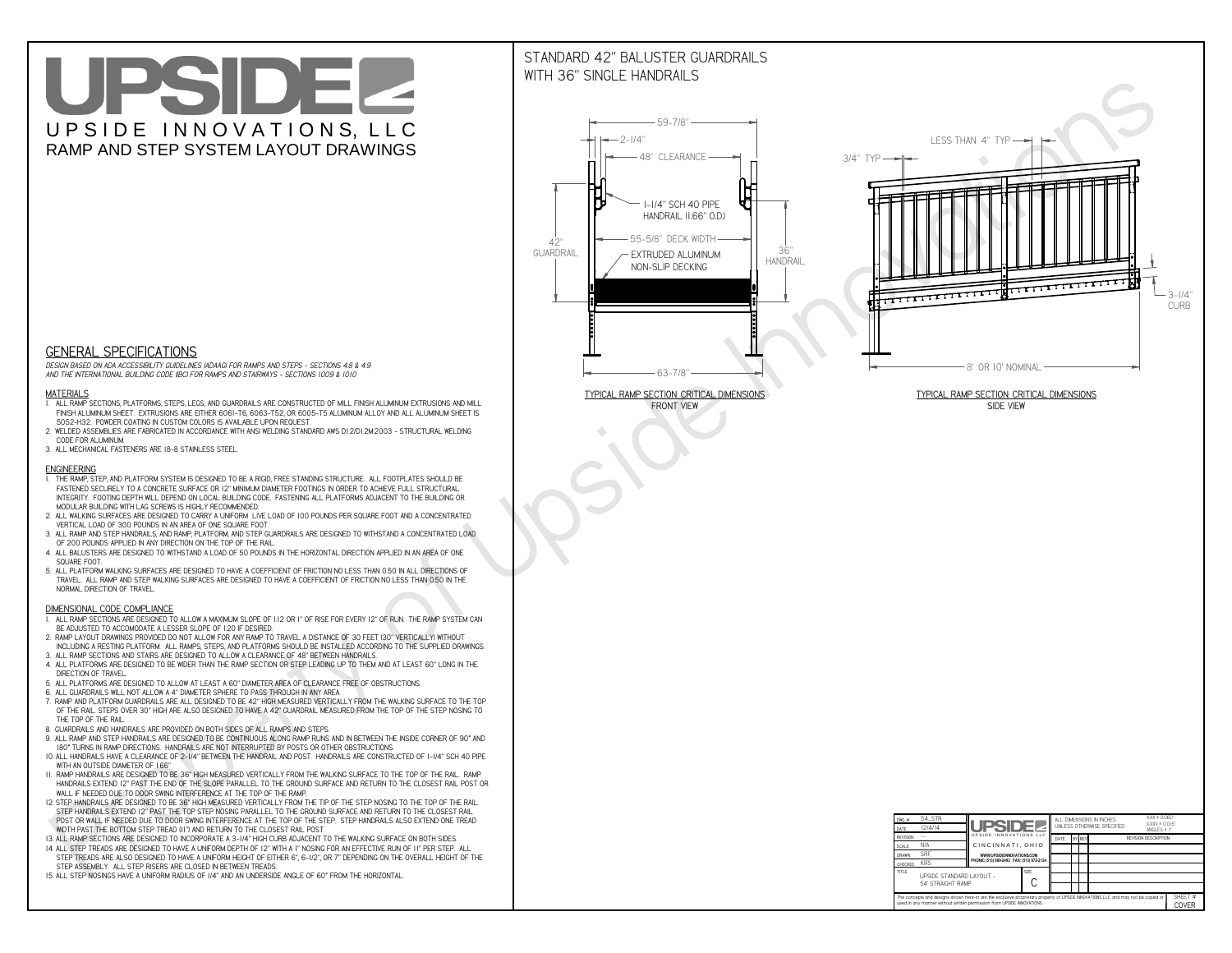# UPSIDEL UPSIDE INNOVATIONS, LLC RAMP AND STEP SYSTEM LAYOUT DRAWINGS

## STANDARD 42" BALUSTER GUARDRAILSWITH 36" SINGLE HANDRAILS

**FRONT VIEW**





**GENERAL SPECIFICATIONS**

 *DESIGN BASED ON ADA ACCESSIBILITY GUIDELINES (ADAAG) FOR RAMPS AND STEPS - SECTIONS 4.8 & 4.9AND THE INTERNATIONAL BUILDING CODE (IBC) FOR RAMPS AND STAIRWAYS - SECTIONS 1009 & 1010*

#### **MATERIALS**

- **1. ALL RAMP SECTIONS, PLATFORMS, STEPS, LEGS, AND GUARDRAILS ARE CONSTRUCTED OF MILL FINISH ALUMINUM EXTRUSIONS AND MILL FINISH ALUMINUM SHEET. EXTRUSIONS ARE EITHER 6061-T6, 6063-T52, OR 6005-T5 ALUMINUM ALLOY AND ALL ALUMINUM SHEET IS 5052-H32. POWDER COATING IN CUSTOM COLORS IS AVAILABLE UPON REQUEST.**
- **2. WELDED ASSEMBLIES ARE FABRICATED IN ACCORDANCE WITH ANSI WELDING STANDARD AWS D1.2/D1.2M:2003 STRUCTURAL WELDING CODE FOR ALUMINUM.**
- **3. ALL MECHANICAL FASTENERS ARE 18-8 STAINLESS STEEL.**

#### **ENGINEERING**

- **1. THE RAMP, STEP, AND PLATFORM SYSTEM IS DESIGNED TO BE A RIGID, FREE STANDING STRUCTURE. ALL FOOTPLATES SHOULD BE FASTENED SECURELY TO A CONCRETE SURFACE OR 12" MINIMUM DIAMETER FOOTINGS IN ORDER TO ACHIEVE FULL STRUCTURAL INTEGRITY. FOOTING DEPTH WILL DEPEND ON LOCAL BUILDING CODE. FASTENING ALL PLATFORMS ADJACENT TO THE BUILDING OR MODULAR BUILDING WITH LAG SCREWS IS HIGHLY RECOMMENDED.**
- **2. ALL WALKING SURFACES ARE DESIGNED TO CARRY A UNIFORM LIVE LOAD OF 100 POUNDS PER SQUARE FOOT AND A CONCENTRATED VERTICAL LOAD OF 300 POUNDS IN AN AREA OF ONE SQUARE FOOT.**
- **3. ALL RAMP AND STEP HANDRAILS, AND RAMP, PLATFORM, AND STEP GUARDRAILS ARE DESIGNED TO WITHSTAND A CONCENTRATED LOAD OF 200 POUNDS APPLIED IN ANY DIRECTION ON THE TOP OF THE RAIL.**
- **4. ALL BALUSTERS ARE DESIGNED TO WITHSTAND A LOAD OF 50 POUNDS IN THE HORIZONTAL DIRECTION APPLIED IN AN AREA OF ONE SQUARE FOOT.**
- **5. ALL PLATFORM WALKING SURFACES ARE DESIGNED TO HAVE A COEFFICIENT OF FRICTION NO LESS THAN 0.50 IN ALL DIRECTIONS OF TRAVEL. ALL RAMP AND STEP WALKING SURFACES ARE DESIGNED TO HAVE A COEFFICIENT OF FRICTION NO LESS THAN 0.50 IN THE NORMAL DIRECTION OF TRAVEL.**

| $DWG.$ #<br>DATE                                                                                                                                                                                            | 54_STR<br>12/4/14 | UPSIDEL                                   |             | ALL DIMENSIONS IN INCHES<br>UNI FSS OTHERWISE SPECIFIED |  |               | $XXX = 0.060"$<br>$XXX \pm 0.015$ "<br>ANGLES $\pm$ 1° |                             |                  |
|-------------------------------------------------------------------------------------------------------------------------------------------------------------------------------------------------------------|-------------------|-------------------------------------------|-------------|---------------------------------------------------------|--|---------------|--------------------------------------------------------|-----------------------------|------------------|
| <b>REVISION</b>                                                                                                                                                                                             |                   | UPSIDE INNOVATIONS LLC                    |             | DATE                                                    |  | <b>BY REV</b> |                                                        | <b>REVISION DESCRIPTION</b> |                  |
| <b>SCALE</b>                                                                                                                                                                                                | N/A               | CINCINNATI, OHIO                          |             |                                                         |  |               |                                                        |                             |                  |
| <b>DRAWN</b>                                                                                                                                                                                                | <b>SRF</b>        | WWW.UPSIDEINNOVATIONS.COM                 |             |                                                         |  |               |                                                        |                             |                  |
| CHECKED                                                                                                                                                                                                     | <b>KRS</b>        | PHONE: (513) 889-2492 FAX: (513) 672-2124 |             |                                                         |  |               |                                                        |                             |                  |
| <b>TITLE</b><br>UPSIDE STANDARD LAYOUT -<br>54' STRAIGHT RAMP                                                                                                                                               |                   |                                           | <b>SIZE</b> |                                                         |  |               |                                                        |                             |                  |
| The concepts and designs shown here-in are the exclusive proprietary property of UPSIDE INNOVATIONS LLC. and may not be copied or<br>used in any manner without written permission from UPSIDE INNOVATIONS. |                   |                                           |             |                                                         |  |               |                                                        |                             | SHEET #<br>COVER |

### **DIMENSIONAL CODE COMPLIANCE**

- **1. ALL RAMP SECTIONS ARE DESIGNED TO ALLOW A MAXIMUM SLOPE OF 1:12 OR 1" OF RISE FOR EVERY 12" OF RUN. THE RAMP SYSTEM CAN BE ADJUSTED TO ACCOMODATE A LESSER SLOPE OF 1:20 IF DESIRED.**
- **2. RAMP LAYOUT DRAWINGS PROVIDED DO NOT ALLOW FOR ANY RAMP TO TRAVEL A DISTANCE OF 30 FEET (30" VERTICALLY) WITHOUT INCLUDING A RESTING PLATFORM. ALL RAMPS, STEPS, AND PLATFORMS SHOULD BE INSTALLED ACCORDING TO THE SUPPLIED DRAWINGS.**
- **3. ALL RAMP SECTIONS AND STAIRS ARE DESIGNED TO ALLOW A CLEARANCE OF 48" BETWEEN HANDRAILS.**
- **4. ALL PLATFORMS ARE DESIGNED TO BE WIDER THAN THE RAMP SECTION OR STEP LEADING UP TO THEM AND AT LEAST 60" LONG IN THE DIRECTION OF TRAVEL.**
- **5. ALL PLATFORMS ARE DESIGNED TO ALLOW AT LEAST A 60" DIAMETER AREA OF CLEARANCE FREE OF OBSTRUCTIONS.**
- **6. ALL GUARDRAILS WILL NOT ALLOW A 4" DIAMETER SPHERE TO PASS THROUGH IN ANY AREA.**
- **7. RAMP AND PLATFORM GUARDRAILS ARE ALL DESIGNED TO BE 42" HIGH MEASURED VERTICALLY FROM THE WALKING SURFACE TO THE TOP OF THE RAIL. STEPS OVER 30" HIGH ARE ALSO DESIGNED TO HAVE A 42" GUARDRAIL MEASURED FROM THE TOP OF THE STEP NOSING TO THE TOP OF THE RAIL.**
- **8. GUARDRAILS AND HANDRAILS ARE PROVIDED ON BOTH SIDES OF ALL RAMPS AND STEPS.**
- **9. ALL RAMP AND STEP HANDRAILS ARE DESIGNED TO BE CONTINUOUS ALONG RAMP RUNS AND IN BETWEEN THE INSIDE CORNER OF 90° AND 180° TURNS IN RAMP DIRECTIONS. HANDRAILS ARE NOT INTERRUPTED BY POSTS OR OTHER OBSTRUCTIONS.**
- **10. ALL HANDRAILS HAVE A CLEARANCE OF 2-1/4" BETWEEN THE HANDRAIL AND POST. HANDRAILS ARE CONSTRUCTED OF 1-1/4" SCH 40 PIPE WITH AN OUTSIDE DIAMETER OF 1.66"**
- **11. RAMP HANDRAILS ARE DESIGNED TO BE 36" HIGH MEASURED VERTICALLY FROM THE WALKING SURFACE TO THE TOP OF THE RAIL. RAMP HANDRAILS EXTEND 12" PAST THE END OF THE SLOPE PARALLEL TO THE GROUND SURFACE AND RETURN TO THE CLOSEST RAIL POST OR WALL IF NEEDED DUE TO DOOR SWING INTERFERENCE AT THE TOP OF THE RAMP.**
- **12. STEP HANDRAILS ARE DESIGNED TO BE 36" HIGH MEASURED VERTICALLY FROM THE TIP OF THE STEP NOSING TO THE TOP OF THE RAIL. STEP HANDRAILS EXTEND 12" PAST THE TOP STEP NOSING PARALLEL TO THE GROUND SURFACE AND RETURN TO THE CLOSEST RAIL POST OR WALL IF NEEDED DUE TO DOOR SWING INTERFERENCE AT THE TOP OF THE STEP. STEP HANDRAILS ALSO EXTEND ONE TREAD**
- **WIDTH PAST THE BOTTOM STEP TREAD (11") AND RETURN TO THE CLOSEST RAIL POST.**
- **13. ALL RAMP SECTIONS ARE DESIGNED TO INCORPORATE A 3-1/4" HIGH CURB ADJACENT TO THE WALKING SURFACE ON BOTH SIDES.**
- **14. ALL STEP TREADS ARE DESIGNED TO HAVE A UNIFORM DEPTH OF 12" WITH A 1" NOSING FOR AN EFFECTIVE RUN OF 11" PER STEP. ALL STEP TREADS ARE ALSO DESIGNED TO HAVE A UNIFORM HEIGHT OF EITHER 6", 6-1/2", OR 7" DEPENDING ON THE OVERALL HEIGHT OF THE STEP ASSEMBLY. ALL STEP RISERS ARE CLOSED IN BETWEEN TREADS.**
- **15. ALL STEP NOSINGS HAVE A UNIFORM RADIUS OF 1/4" AND AN UNDERSIDE ANGLE OF 60° FROM THE HORIZONTAL.**